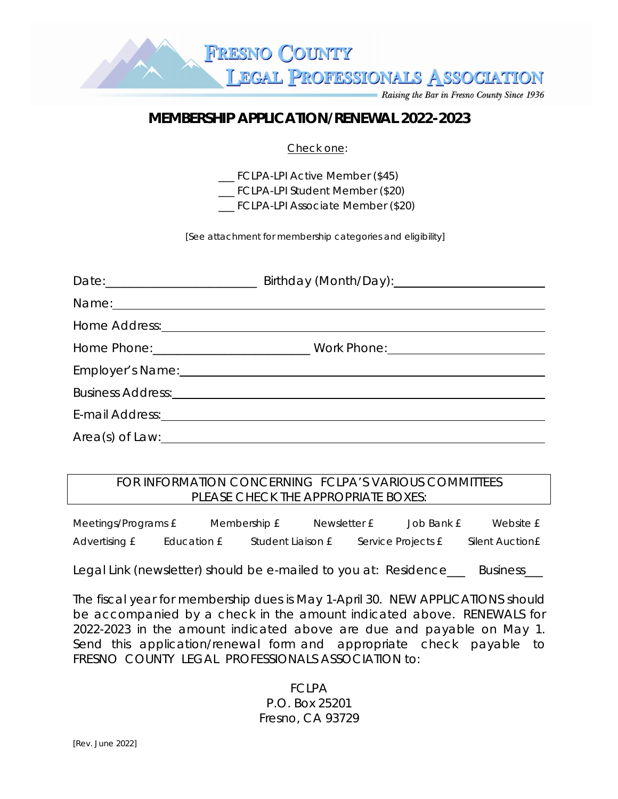**LEGAL PROFESSIONALS ASSOCIATION** 

Raising the Bar in Fresno County Since 1936

## **MEMBERSHIP APPLICATION/RENEWAL 2022-2023**

**FRESNO COUNTY** 

## Check one:

\_\_\_ FCLPA-LPI Active Member (\$45)

\_\_\_ FCLPA-LPI Student Member (\$20)

\_\_\_ FCLPA-LPI Associate Member (\$20)

[See attachment for membership categories and eligibility]

| Name: Name:                                                                                                                                                                                                                    |  |
|--------------------------------------------------------------------------------------------------------------------------------------------------------------------------------------------------------------------------------|--|
|                                                                                                                                                                                                                                |  |
| Home Phone: ___________________________________ Work Phone: ____________________                                                                                                                                               |  |
| Employer's Name: Cambridge Contract Contract Contract Contract Contract Contract Contract Contract Contract Contract Contract Contract Contract Contract Contract Contract Contract Contract Contract Contract Contract Contra |  |
|                                                                                                                                                                                                                                |  |
|                                                                                                                                                                                                                                |  |
|                                                                                                                                                                                                                                |  |

## FOR INFORMATION CONCERNING FCLPA'S VARIOUS COMMITTEES PLEASE CHECK THE APPROPRIATE BOXES:

Meetings/Programs  $\text{£}$  Membership  $\text{£}$  Newsletter  $\text{£}$  Job Bank  $\text{£}$  Website  $\text{£}$ Advertising  $\text{£}$  Education  $\text{£}$  Student Liaison  $\text{£}$  Service Projects  $\text{£}$  Silent Auction  $\text{£}$ 

Legal Link (newsletter) should be e-mailed to you at: Residence\_\_\_ Business\_\_\_

The fiscal year for membership dues is May 1-April 30. NEW APPLICATIONS should be accompanied by a check in the amount indicated above. RENEWALS for 2022-2023 in the amount indicated above are due and payable on May 1. Send this application/renewal form and appropriate check payable to FRESNO COUNTY LEGAL PROFESSIONALS ASSOCIATION to:

> FCLPA P.O. Box 25201 Fresno, CA 93729